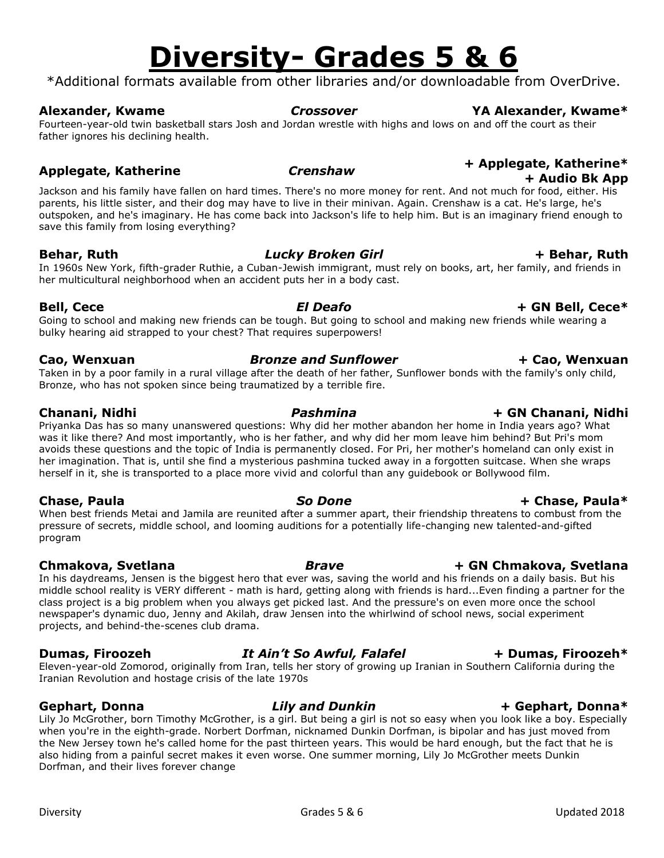## **Diversity- Grades 5 & 6**

\*Additional formats available from other libraries and/or downloadable from OverDrive.

### **Alexander, Kwame** *Crossover* **YA Alexander, Kwame\***

Fourteen-year-old twin basketball stars Josh and Jordan wrestle with highs and lows on and off the court as their father ignores his declining health.

Jackson and his family have fallen on hard times. There's no more money for rent. And not much for food, either. His parents, his little sister, and their dog may have to live in their minivan. Again. Crenshaw is a cat. He's large, he's outspoken, and he's imaginary. He has come back into Jackson's life to help him. But is an imaginary friend enough to save this family from losing everything?

**Behar, Ruth** *Lucky Broken Girl* **+ Behar, Ruth**

In 1960s New York, fifth-grader Ruthie, a Cuban-Jewish immigrant, must rely on books, art, her family, and friends in her multicultural neighborhood when an accident puts her in a body cast.

### **Bell, Cece** *El Deafo* **+ GN Bell, Cece\***

Going to school and making new friends can be tough. But going to school and making new friends while wearing a bulky hearing aid strapped to your chest? That requires superpowers!

Taken in by a poor family in a rural village after the death of her father, Sunflower bonds with the family's only child, Bronze, who has not spoken since being traumatized by a terrible fire.

Priyanka Das has so many unanswered questions: Why did her mother abandon her home in India years ago? What was it like there? And most importantly, who is her father, and why did her mom leave him behind? But Pri's mom avoids these questions and the topic of India is permanently closed. For Pri, her mother's homeland can only exist in her imagination. That is, until she find a mysterious pashmina tucked away in a forgotten suitcase. When she wraps herself in it, she is transported to a place more vivid and colorful than any guidebook or Bollywood film.

When best friends Metai and Jamila are reunited after a summer apart, their friendship threatens to combust from the pressure of secrets, middle school, and looming auditions for a potentially life-changing new talented-and-gifted program

### **[Chmakova, Svetlana](about:blank)** *Brave* **+ GN [Chmakova, Svetlana](about:blank)**

In his daydreams, Jensen is the biggest hero that ever was, saving the world and his friends on a daily basis. But his middle school reality is VERY different - math is hard, getting along with friends is hard...Even finding a partner for the class project is a big problem when you always get picked last. And the pressure's on even more once the school newspaper's dynamic duo, Jenny and Akilah, draw Jensen into the whirlwind of school news, social experiment projects, and behind-the-scenes club drama.

**Dumas, Firoozeh** *It Ain't So Awful, Falafel* **+ Dumas, Firoozeh\*** Eleven-year-old Zomorod, originally from Iran, tells her story of growing up Iranian in Southern California during the

Iranian Revolution and hostage crisis of the late 1970s

**Gephart, Donna** *Lily and Dunkin* **+ Gephart, Donna\*** Lily Jo McGrother, born Timothy McGrother, is a girl. But being a girl is not so easy when you look like a boy. Especially when you're in the eighth-grade. Norbert Dorfman, nicknamed Dunkin Dorfman, is bipolar and has just moved from the New Jersey town he's called home for the past thirteen years. This would be hard enough, but the fact that he is also hiding from a painful secret makes it even worse. One summer morning, Lily Jo McGrother meets Dunkin Dorfman, and their lives forever change

### **Cao, Wenxuan** *Bronze and Sunflower* **+ Cao, Wenxuan**

### **Chanani, Nidhi** *Pashmina* **+ GN Chanani, Nidhi**

### **Chase, Paula** *So Done* **+ Chase, Paula\***

### Diversity Channel Communications of Grades 5 & 6 Channel Communications of the Updated 2018

### **Applegate, Katherine** *Crenshaw* **<sup>+</sup> Applegate, Katherine\* + Audio Bk App**